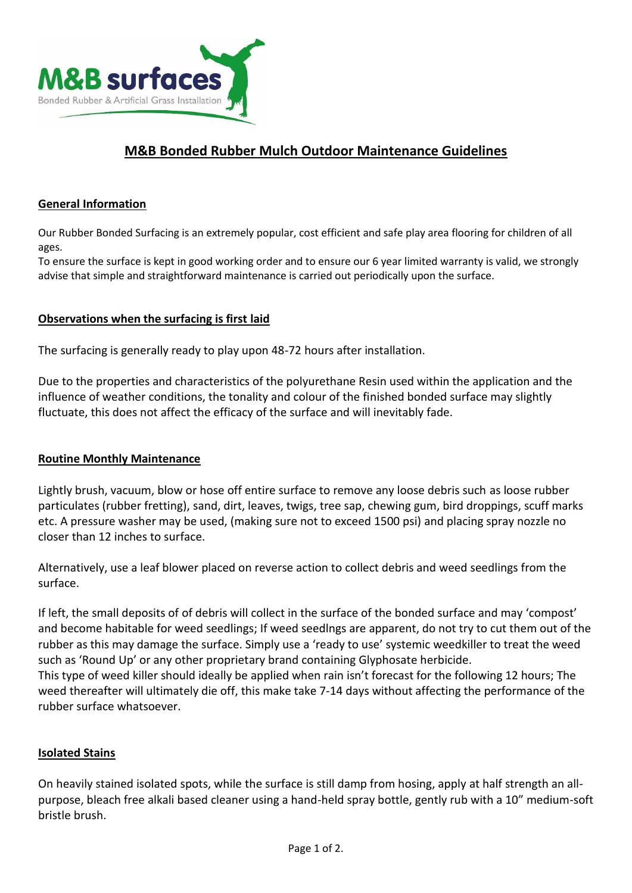

# **M&B Bonded Rubber Mulch Outdoor Maintenance Guidelines**

#### **General Information**

Our Rubber Bonded Surfacing is an extremely popular, cost efficient and safe play area flooring for children of all ages.

To ensure the surface is kept in good working order and to ensure our 6 year limited warranty is valid, we strongly advise that simple and straightforward maintenance is carried out periodically upon the surface.

#### **Observations when the surfacing is first laid**

The surfacing is generally ready to play upon 48-72 hours after installation.

Due to the properties and characteristics of the polyurethane Resin used within the application and the influence of weather conditions, the tonality and colour of the finished bonded surface may slightly fluctuate, this does not affect the efficacy of the surface and will inevitably fade.

#### **Routine Monthly Maintenance**

Lightly brush, vacuum, blow or hose off entire surface to remove any loose debris such as loose rubber particulates (rubber fretting), sand, dirt, leaves, twigs, tree sap, chewing gum, bird droppings, scuff marks etc. A pressure washer may be used, (making sure not to exceed 1500 psi) and placing spray nozzle no closer than 12 inches to surface.

Alternatively, use a leaf blower placed on reverse action to collect debris and weed seedlings from the surface.

If left, the small deposits of of debris will collect in the surface of the bonded surface and may 'compost' and become habitable for weed seedlings; If weed seedlngs are apparent, do not try to cut them out of the rubber as this may damage the surface. Simply use a 'ready to use' systemic weedkiller to treat the weed such as 'Round Up' or any other proprietary brand containing Glyphosate herbicide.

This type of weed killer should ideally be applied when rain isn't forecast for the following 12 hours; The weed thereafter will ultimately die off, this make take 7-14 days without affecting the performance of the rubber surface whatsoever.

#### **Isolated Stains**

On heavily stained isolated spots, while the surface is still damp from hosing, apply at half strength an allpurpose, bleach free alkali based cleaner using a hand-held spray bottle, gently rub with a 10" medium-soft bristle brush.